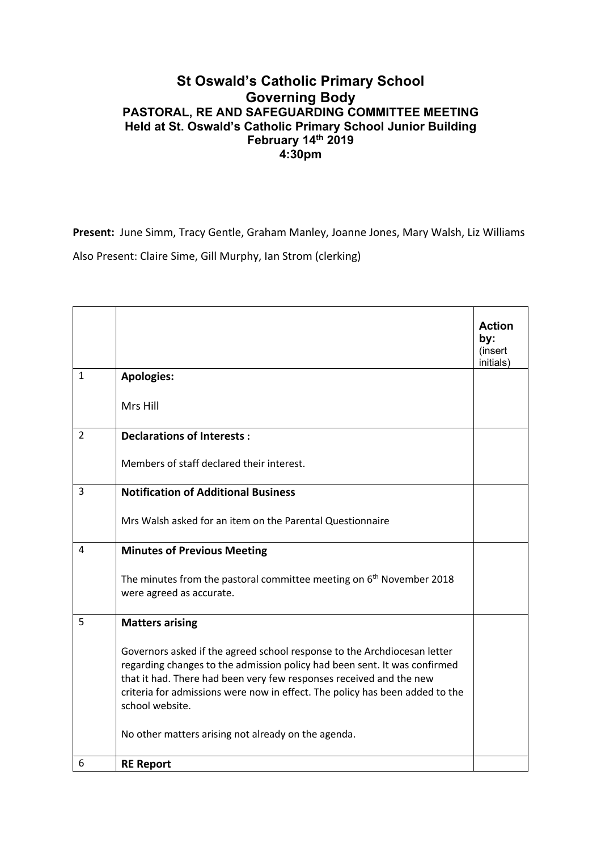## **St Oswald's Catholic Primary School Governing Body PASTORAL, RE AND SAFEGUARDING COMMITTEE MEETING Held at St. Oswald's Catholic Primary School Junior Building February 14th 2019 4:30pm**

**Present:** June Simm, Tracy Gentle, Graham Manley, Joanne Jones, Mary Walsh, Liz Williams Also Present: Claire Sime, Gill Murphy, Ian Strom (clerking)

|                |                                                                                                                                                                                                                                                                                                                                 | <b>Action</b><br>by:<br>(insert<br>initials) |
|----------------|---------------------------------------------------------------------------------------------------------------------------------------------------------------------------------------------------------------------------------------------------------------------------------------------------------------------------------|----------------------------------------------|
| $\mathbf{1}$   | <b>Apologies:</b>                                                                                                                                                                                                                                                                                                               |                                              |
|                | Mrs Hill                                                                                                                                                                                                                                                                                                                        |                                              |
| $\overline{2}$ | <b>Declarations of Interests:</b>                                                                                                                                                                                                                                                                                               |                                              |
|                | Members of staff declared their interest.                                                                                                                                                                                                                                                                                       |                                              |
| 3              | <b>Notification of Additional Business</b>                                                                                                                                                                                                                                                                                      |                                              |
|                | Mrs Walsh asked for an item on the Parental Questionnaire                                                                                                                                                                                                                                                                       |                                              |
| 4              | <b>Minutes of Previous Meeting</b>                                                                                                                                                                                                                                                                                              |                                              |
|                | The minutes from the pastoral committee meeting on $6th$ November 2018<br>were agreed as accurate.                                                                                                                                                                                                                              |                                              |
| 5              | <b>Matters arising</b>                                                                                                                                                                                                                                                                                                          |                                              |
|                | Governors asked if the agreed school response to the Archdiocesan letter<br>regarding changes to the admission policy had been sent. It was confirmed<br>that it had. There had been very few responses received and the new<br>criteria for admissions were now in effect. The policy has been added to the<br>school website. |                                              |
|                | No other matters arising not already on the agenda.                                                                                                                                                                                                                                                                             |                                              |
| 6              | <b>RE Report</b>                                                                                                                                                                                                                                                                                                                |                                              |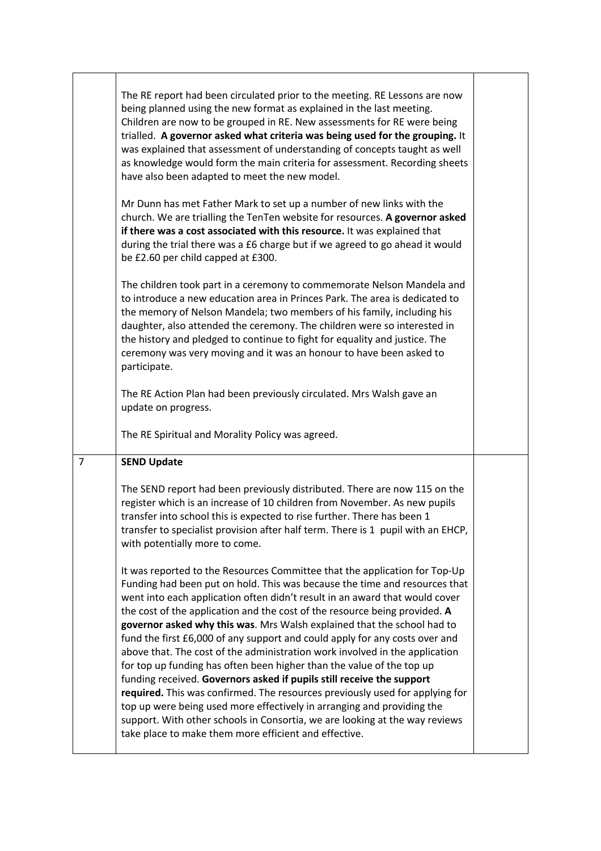| The RE report had been circulated prior to the meeting. RE Lessons are now<br>being planned using the new format as explained in the last meeting.<br>Children are now to be grouped in RE. New assessments for RE were being<br>trialled. A governor asked what criteria was being used for the grouping. It<br>was explained that assessment of understanding of concepts taught as well<br>as knowledge would form the main criteria for assessment. Recording sheets<br>have also been adapted to meet the new model.<br>Mr Dunn has met Father Mark to set up a number of new links with the<br>church. We are trialling the TenTen website for resources. A governor asked<br>if there was a cost associated with this resource. It was explained that<br>during the trial there was a £6 charge but if we agreed to go ahead it would<br>be £2.60 per child capped at £300.<br>The children took part in a ceremony to commemorate Nelson Mandela and<br>to introduce a new education area in Princes Park. The area is dedicated to<br>the memory of Nelson Mandela; two members of his family, including his<br>daughter, also attended the ceremony. The children were so interested in<br>the history and pledged to continue to fight for equality and justice. The<br>ceremony was very moving and it was an honour to have been asked to |
|--------------------------------------------------------------------------------------------------------------------------------------------------------------------------------------------------------------------------------------------------------------------------------------------------------------------------------------------------------------------------------------------------------------------------------------------------------------------------------------------------------------------------------------------------------------------------------------------------------------------------------------------------------------------------------------------------------------------------------------------------------------------------------------------------------------------------------------------------------------------------------------------------------------------------------------------------------------------------------------------------------------------------------------------------------------------------------------------------------------------------------------------------------------------------------------------------------------------------------------------------------------------------------------------------------------------------------------------------------|
|                                                                                                                                                                                                                                                                                                                                                                                                                                                                                                                                                                                                                                                                                                                                                                                                                                                                                                                                                                                                                                                                                                                                                                                                                                                                                                                                                        |
| The RE Spiritual and Morality Policy was agreed.                                                                                                                                                                                                                                                                                                                                                                                                                                                                                                                                                                                                                                                                                                                                                                                                                                                                                                                                                                                                                                                                                                                                                                                                                                                                                                       |
|                                                                                                                                                                                                                                                                                                                                                                                                                                                                                                                                                                                                                                                                                                                                                                                                                                                                                                                                                                                                                                                                                                                                                                                                                                                                                                                                                        |
| The SEND report had been previously distributed. There are now 115 on the<br>register which is an increase of 10 children from November. As new pupils<br>transfer into school this is expected to rise further. There has been 1<br>transfer to specialist provision after half term. There is 1 pupil with an EHCP,<br>with potentially more to come.                                                                                                                                                                                                                                                                                                                                                                                                                                                                                                                                                                                                                                                                                                                                                                                                                                                                                                                                                                                                |
| It was reported to the Resources Committee that the application for Top-Up<br>Funding had been put on hold. This was because the time and resources that<br>went into each application often didn't result in an award that would cover<br>the cost of the application and the cost of the resource being provided. A<br>governor asked why this was. Mrs Walsh explained that the school had to<br>fund the first £6,000 of any support and could apply for any costs over and<br>above that. The cost of the administration work involved in the application<br>for top up funding has often been higher than the value of the top up<br>funding received. Governors asked if pupils still receive the support<br>required. This was confirmed. The resources previously used for applying for<br>top up were being used more effectively in arranging and providing the<br>support. With other schools in Consortia, we are looking at the way reviews<br>take place to make them more efficient and effective.                                                                                                                                                                                                                                                                                                                                     |
| The RE Action Plan had been previously circulated. Mrs Walsh gave an                                                                                                                                                                                                                                                                                                                                                                                                                                                                                                                                                                                                                                                                                                                                                                                                                                                                                                                                                                                                                                                                                                                                                                                                                                                                                   |

 $\overline{a}$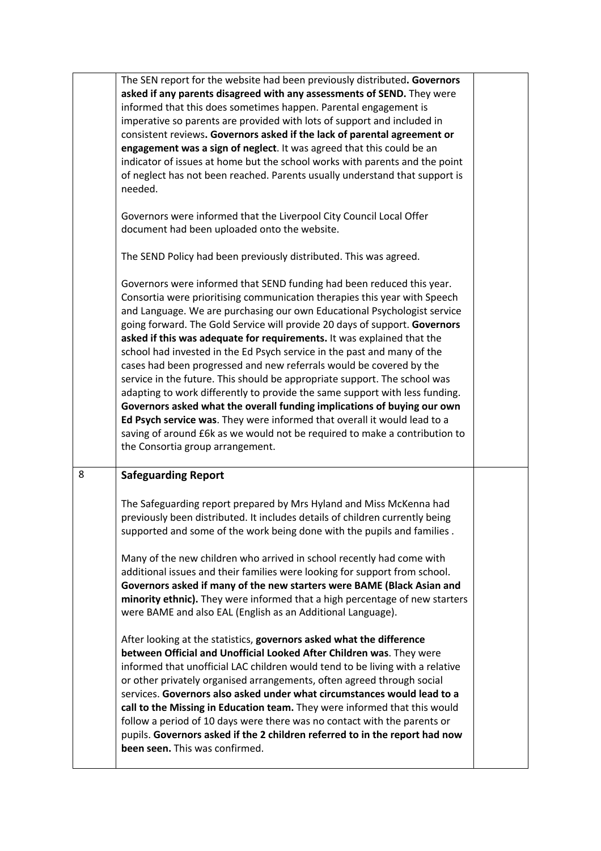|   | The SEN report for the website had been previously distributed. Governors<br>asked if any parents disagreed with any assessments of SEND. They were<br>informed that this does sometimes happen. Parental engagement is<br>imperative so parents are provided with lots of support and included in<br>consistent reviews. Governors asked if the lack of parental agreement or<br>engagement was a sign of neglect. It was agreed that this could be an<br>indicator of issues at home but the school works with parents and the point<br>of neglect has not been reached. Parents usually understand that support is<br>needed.<br>Governors were informed that the Liverpool City Council Local Offer                                                                                                                                                                                                                                                                       |  |
|---|-------------------------------------------------------------------------------------------------------------------------------------------------------------------------------------------------------------------------------------------------------------------------------------------------------------------------------------------------------------------------------------------------------------------------------------------------------------------------------------------------------------------------------------------------------------------------------------------------------------------------------------------------------------------------------------------------------------------------------------------------------------------------------------------------------------------------------------------------------------------------------------------------------------------------------------------------------------------------------|--|
|   | document had been uploaded onto the website.                                                                                                                                                                                                                                                                                                                                                                                                                                                                                                                                                                                                                                                                                                                                                                                                                                                                                                                                  |  |
|   | The SEND Policy had been previously distributed. This was agreed.                                                                                                                                                                                                                                                                                                                                                                                                                                                                                                                                                                                                                                                                                                                                                                                                                                                                                                             |  |
|   | Governors were informed that SEND funding had been reduced this year.<br>Consortia were prioritising communication therapies this year with Speech<br>and Language. We are purchasing our own Educational Psychologist service<br>going forward. The Gold Service will provide 20 days of support. Governors<br>asked if this was adequate for requirements. It was explained that the<br>school had invested in the Ed Psych service in the past and many of the<br>cases had been progressed and new referrals would be covered by the<br>service in the future. This should be appropriate support. The school was<br>adapting to work differently to provide the same support with less funding.<br>Governors asked what the overall funding implications of buying our own<br>Ed Psych service was. They were informed that overall it would lead to a<br>saving of around £6k as we would not be required to make a contribution to<br>the Consortia group arrangement. |  |
| 8 | <b>Safeguarding Report</b>                                                                                                                                                                                                                                                                                                                                                                                                                                                                                                                                                                                                                                                                                                                                                                                                                                                                                                                                                    |  |
|   | The Safeguarding report prepared by Mrs Hyland and Miss McKenna had<br>previously been distributed. It includes details of children currently being<br>supported and some of the work being done with the pupils and families.<br>Many of the new children who arrived in school recently had come with<br>additional issues and their families were looking for support from school.<br>Governors asked if many of the new starters were BAME (Black Asian and<br>minority ethnic). They were informed that a high percentage of new starters<br>were BAME and also EAL (English as an Additional Language).                                                                                                                                                                                                                                                                                                                                                                 |  |
|   | After looking at the statistics, governors asked what the difference<br>between Official and Unofficial Looked After Children was. They were<br>informed that unofficial LAC children would tend to be living with a relative<br>or other privately organised arrangements, often agreed through social<br>services. Governors also asked under what circumstances would lead to a<br>call to the Missing in Education team. They were informed that this would<br>follow a period of 10 days were there was no contact with the parents or<br>pupils. Governors asked if the 2 children referred to in the report had now<br>been seen. This was confirmed.                                                                                                                                                                                                                                                                                                                  |  |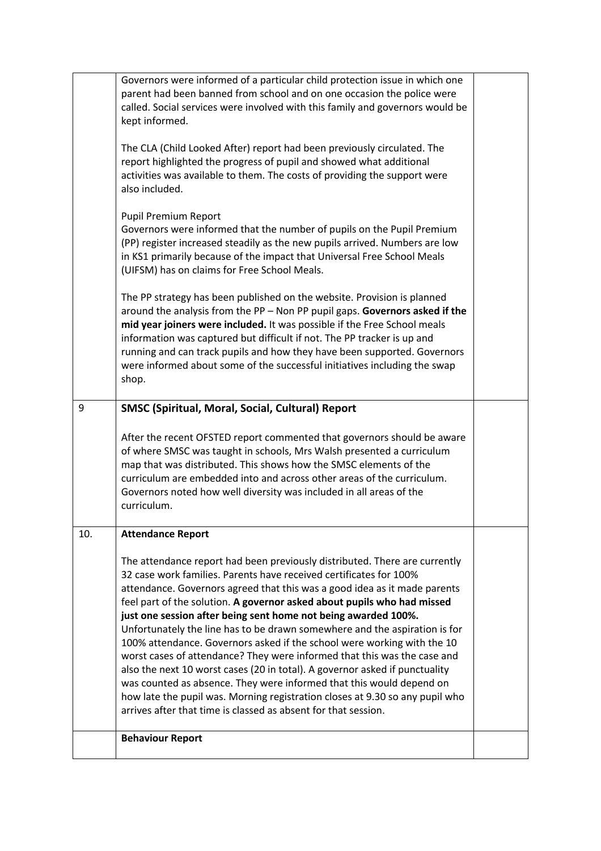|     | Governors were informed of a particular child protection issue in which one<br>parent had been banned from school and on one occasion the police were<br>called. Social services were involved with this family and governors would be<br>kept informed.                                                                                                                                                                                                                                                                                                                                                                                                                                                                                                                                                                                                                                                                 |  |
|-----|--------------------------------------------------------------------------------------------------------------------------------------------------------------------------------------------------------------------------------------------------------------------------------------------------------------------------------------------------------------------------------------------------------------------------------------------------------------------------------------------------------------------------------------------------------------------------------------------------------------------------------------------------------------------------------------------------------------------------------------------------------------------------------------------------------------------------------------------------------------------------------------------------------------------------|--|
|     | The CLA (Child Looked After) report had been previously circulated. The<br>report highlighted the progress of pupil and showed what additional<br>activities was available to them. The costs of providing the support were<br>also included.                                                                                                                                                                                                                                                                                                                                                                                                                                                                                                                                                                                                                                                                            |  |
|     | Pupil Premium Report<br>Governors were informed that the number of pupils on the Pupil Premium<br>(PP) register increased steadily as the new pupils arrived. Numbers are low<br>in KS1 primarily because of the impact that Universal Free School Meals<br>(UIFSM) has on claims for Free School Meals.                                                                                                                                                                                                                                                                                                                                                                                                                                                                                                                                                                                                                 |  |
|     | The PP strategy has been published on the website. Provision is planned<br>around the analysis from the PP - Non PP pupil gaps. Governors asked if the<br>mid year joiners were included. It was possible if the Free School meals<br>information was captured but difficult if not. The PP tracker is up and<br>running and can track pupils and how they have been supported. Governors<br>were informed about some of the successful initiatives including the swap<br>shop.                                                                                                                                                                                                                                                                                                                                                                                                                                          |  |
| 9   | <b>SMSC (Spiritual, Moral, Social, Cultural) Report</b>                                                                                                                                                                                                                                                                                                                                                                                                                                                                                                                                                                                                                                                                                                                                                                                                                                                                  |  |
|     | After the recent OFSTED report commented that governors should be aware<br>of where SMSC was taught in schools, Mrs Walsh presented a curriculum<br>map that was distributed. This shows how the SMSC elements of the<br>curriculum are embedded into and across other areas of the curriculum.<br>Governors noted how well diversity was included in all areas of the<br>curriculum.                                                                                                                                                                                                                                                                                                                                                                                                                                                                                                                                    |  |
| 10. | <b>Attendance Report</b>                                                                                                                                                                                                                                                                                                                                                                                                                                                                                                                                                                                                                                                                                                                                                                                                                                                                                                 |  |
|     | The attendance report had been previously distributed. There are currently<br>32 case work families. Parents have received certificates for 100%<br>attendance. Governors agreed that this was a good idea as it made parents<br>feel part of the solution. A governor asked about pupils who had missed<br>just one session after being sent home not being awarded 100%.<br>Unfortunately the line has to be drawn somewhere and the aspiration is for<br>100% attendance. Governors asked if the school were working with the 10<br>worst cases of attendance? They were informed that this was the case and<br>also the next 10 worst cases (20 in total). A governor asked if punctuality<br>was counted as absence. They were informed that this would depend on<br>how late the pupil was. Morning registration closes at 9.30 so any pupil who<br>arrives after that time is classed as absent for that session. |  |
|     | <b>Behaviour Report</b>                                                                                                                                                                                                                                                                                                                                                                                                                                                                                                                                                                                                                                                                                                                                                                                                                                                                                                  |  |